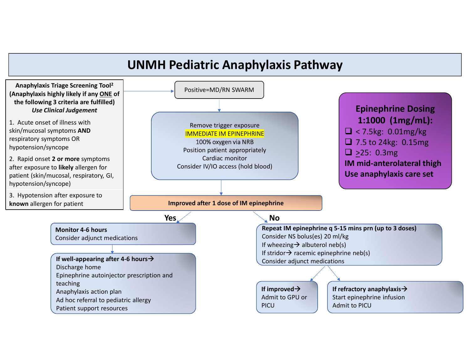# UNMH Pediatric Anaphylaxis Pathway